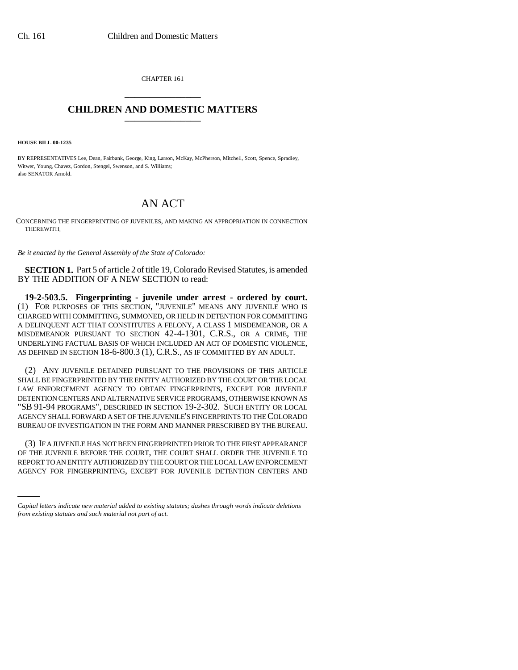CHAPTER 161 \_\_\_\_\_\_\_\_\_\_\_\_\_\_\_

## **CHILDREN AND DOMESTIC MATTERS** \_\_\_\_\_\_\_\_\_\_\_\_\_\_\_

**HOUSE BILL 00-1235** 

BY REPRESENTATIVES Lee, Dean, Fairbank, George, King, Larson, McKay, McPherson, Mitchell, Scott, Spence, Spradley, Witwer, Young, Chavez, Gordon, Stengel, Swenson, and S. Williams; also SENATOR Arnold.

## AN ACT

CONCERNING THE FINGERPRINTING OF JUVENILES, AND MAKING AN APPROPRIATION IN CONNECTION THEREWITH.

*Be it enacted by the General Assembly of the State of Colorado:*

**SECTION 1.** Part 5 of article 2 of title 19, Colorado Revised Statutes, is amended BY THE ADDITION OF A NEW SECTION to read:

**19-2-503.5. Fingerprinting - juvenile under arrest - ordered by court.** (1) FOR PURPOSES OF THIS SECTION, "JUVENILE" MEANS ANY JUVENILE WHO IS CHARGED WITH COMMITTING, SUMMONED, OR HELD IN DETENTION FOR COMMITTING A DELINQUENT ACT THAT CONSTITUTES A FELONY, A CLASS 1 MISDEMEANOR, OR A MISDEMEANOR PURSUANT TO SECTION 42-4-1301, C.R.S., OR A CRIME, THE UNDERLYING FACTUAL BASIS OF WHICH INCLUDED AN ACT OF DOMESTIC VIOLENCE, AS DEFINED IN SECTION 18-6-800.3 (1), C.R.S., AS IF COMMITTED BY AN ADULT.

(2) ANY JUVENILE DETAINED PURSUANT TO THE PROVISIONS OF THIS ARTICLE SHALL BE FINGERPRINTED BY THE ENTITY AUTHORIZED BY THE COURT OR THE LOCAL LAW ENFORCEMENT AGENCY TO OBTAIN FINGERPRINTS, EXCEPT FOR JUVENILE DETENTION CENTERS AND ALTERNATIVE SERVICE PROGRAMS, OTHERWISE KNOWN AS "SB 91-94 PROGRAMS", DESCRIBED IN SECTION 19-2-302. SUCH ENTITY OR LOCAL AGENCY SHALL FORWARD A SET OF THE JUVENILE'S FINGERPRINTS TO THE COLORADO BUREAU OF INVESTIGATION IN THE FORM AND MANNER PRESCRIBED BY THE BUREAU.

OF THE JUVENILE BEFORE THE COURT, THE COURT SHALL ORDER THE JUVENILE TO (3) IF A JUVENILE HAS NOT BEEN FINGERPRINTED PRIOR TO THE FIRST APPEARANCE REPORT TO AN ENTITY AUTHORIZED BY THE COURT OR THE LOCAL LAW ENFORCEMENT AGENCY FOR FINGERPRINTING, EXCEPT FOR JUVENILE DETENTION CENTERS AND

*Capital letters indicate new material added to existing statutes; dashes through words indicate deletions from existing statutes and such material not part of act.*